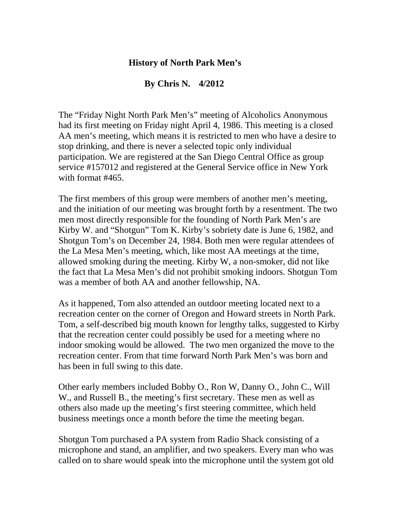## **History of North Park Men's**

## **By Chris N. 4/2012**

The "Friday Night North Park Men's" meeting of Alcoholics Anonymous had its first meeting on Friday night April 4, 1986. This meeting is a closed AA men's meeting, which means it is restricted to men who have a desire to stop drinking, and there is never a selected topic only individual participation. We are registered at the San Diego Central Office as group service #157012 and registered at the General Service office in New York with format #465.

The first members of this group were members of another men's meeting, and the initiation of our meeting was brought forth by a resentment. The two men most directly responsible for the founding of North Park Men's are Kirby W. and "Shotgun" Tom K. Kirby's sobriety date is June 6, 1982, and Shotgun Tom's on December 24, 1984. Both men were regular attendees of the La Mesa Men's meeting, which, like most AA meetings at the time, allowed smoking during the meeting. Kirby W, a non-smoker, did not like the fact that La Mesa Men's did not prohibit smoking indoors. Shotgun Tom was a member of both AA and another fellowship, NA.

As it happened, Tom also attended an outdoor meeting located next to a recreation center on the corner of Oregon and Howard streets in North Park. Tom, a self-described big mouth known for lengthy talks, suggested to Kirby that the recreation center could possibly be used for a meeting where no indoor smoking would be allowed. The two men organized the move to the recreation center. From that time forward North Park Men's was born and has been in full swing to this date.

Other early members included Bobby O., Ron W, Danny O., John C., Will W., and Russell B., the meeting's first secretary. These men as well as others also made up the meeting's first steering committee, which held business meetings once a month before the time the meeting began.

Shotgun Tom purchased a PA system from Radio Shack consisting of a microphone and stand, an amplifier, and two speakers. Every man who was called on to share would speak into the microphone until the system got old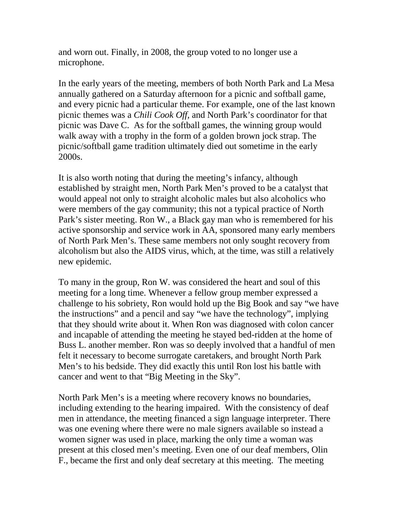and worn out. Finally, in 2008, the group voted to no longer use a microphone.

In the early years of the meeting, members of both North Park and La Mesa annually gathered on a Saturday afternoon for a picnic and softball game, and every picnic had a particular theme. For example, one of the last known picnic themes was a *Chili Cook Off*, and North Park's coordinator for that picnic was Dave C. As for the softball games, the winning group would walk away with a trophy in the form of a golden brown jock strap. The picnic/softball game tradition ultimately died out sometime in the early 2000s.

It is also worth noting that during the meeting's infancy, although established by straight men, North Park Men's proved to be a catalyst that would appeal not only to straight alcoholic males but also alcoholics who were members of the gay community; this not a typical practice of North Park's sister meeting. Ron W., a Black gay man who is remembered for his active sponsorship and service work in AA, sponsored many early members of North Park Men's. These same members not only sought recovery from alcoholism but also the AIDS virus, which, at the time, was still a relatively new epidemic.

To many in the group, Ron W. was considered the heart and soul of this meeting for a long time. Whenever a fellow group member expressed a challenge to his sobriety, Ron would hold up the Big Book and say "we have the instructions" and a pencil and say "we have the technology", implying that they should write about it. When Ron was diagnosed with colon cancer and incapable of attending the meeting he stayed bed-ridden at the home of Buss L. another member. Ron was so deeply involved that a handful of men felt it necessary to become surrogate caretakers, and brought North Park Men's to his bedside. They did exactly this until Ron lost his battle with cancer and went to that "Big Meeting in the Sky".

North Park Men's is a meeting where recovery knows no boundaries, including extending to the hearing impaired. With the consistency of deaf men in attendance, the meeting financed a sign language interpreter. There was one evening where there were no male signers available so instead a women signer was used in place, marking the only time a woman was present at this closed men's meeting. Even one of our deaf members, Olin F., became the first and only deaf secretary at this meeting. The meeting